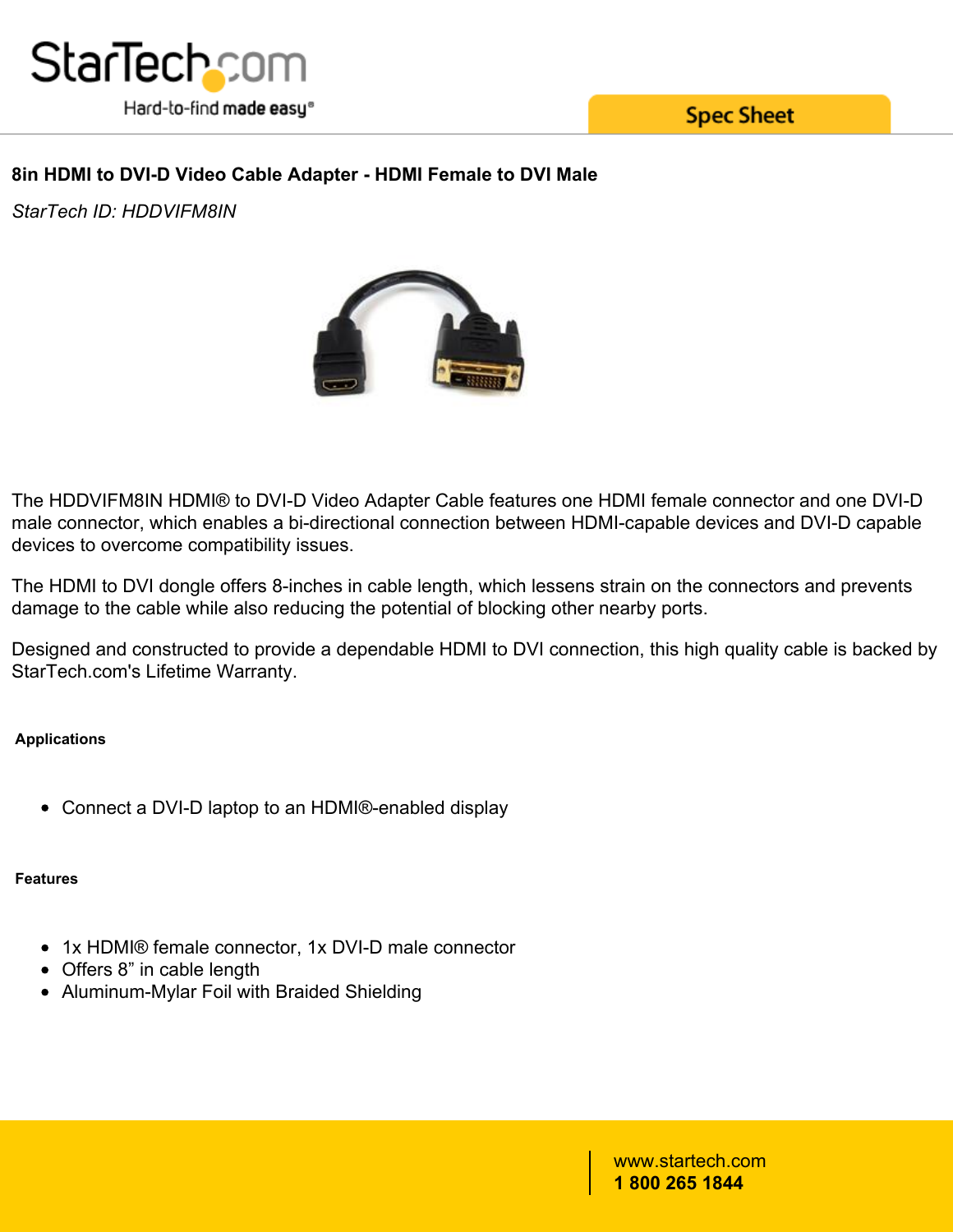

**Spec Sheet** 

# **8in HDMI to DVI-D Video Cable Adapter - HDMI Female to DVI Male**

*StarTech ID: HDDVIFM8IN*



The HDDVIFM8IN HDMI® to DVI-D Video Adapter Cable features one HDMI female connector and one DVI-D male connector, which enables a bi-directional connection between HDMI-capable devices and DVI-D capable devices to overcome compatibility issues.

The HDMI to DVI dongle offers 8-inches in cable length, which lessens strain on the connectors and prevents damage to the cable while also reducing the potential of blocking other nearby ports.

Designed and constructed to provide a dependable HDMI to DVI connection, this high quality cable is backed by StarTech.com's Lifetime Warranty.

# **Applications**

Connect a DVI-D laptop to an HDMI®-enabled display

### **Features**

- 1x HDMI® female connector, 1x DVI-D male connector
- Offers 8" in cable length
- Aluminum-Mylar Foil with Braided Shielding

www.startech.com **1 800 265 1844**